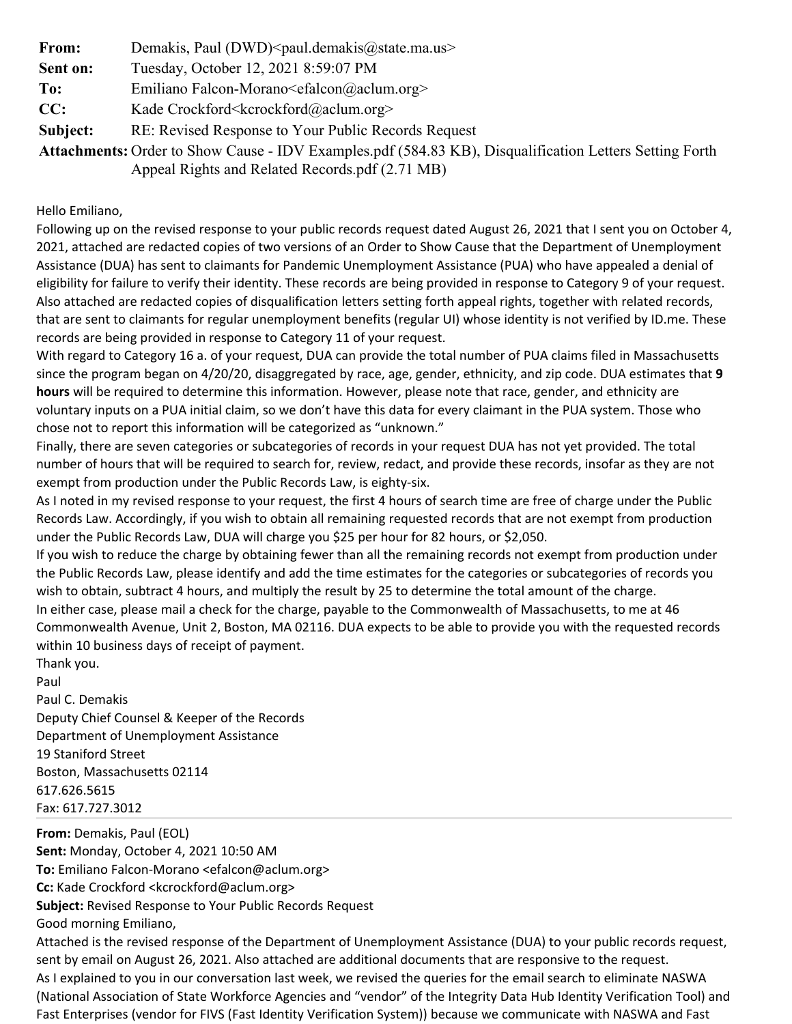| From:    | Demakis, Paul (DWD) <paul.demakis@state.ma.us></paul.demakis@state.ma.us>                                      |
|----------|----------------------------------------------------------------------------------------------------------------|
| Sent on: | Tuesday, October 12, 2021 8:59:07 PM                                                                           |
| To:      | Emiliano Falcon-Morano $\leq$ falcon $\omega$ aclum.org >                                                      |
| CC:      | Kade Crockford <kcrockford@aclum.org></kcrockford@aclum.org>                                                   |
| Subject: | RE: Revised Response to Your Public Records Request                                                            |
|          | <b>Attachments:</b> Order to Show Cause - IDV Examples.pdf (584.83 KB), Disqualification Letters Setting Forth |
|          | Appeal Rights and Related Records.pdf (2.71 MB)                                                                |

Hello Emiliano,

Following up on the revised response to your public records request dated August 26, 2021 that I sent you on October 4, 2021, attached are redacted copies of two versions of an Order to Show Cause that the Department of Unemployment Assistance (DUA) has sent to claimants for Pandemic Unemployment Assistance (PUA) who have appealed a denial of eligibility for failure to verify their identity. These records are being provided in response to Category 9 of your request. Also attached are redacted copies of disqualification letters setting forth appeal rights, together with related records, that are sent to claimants for regular unemployment benefits (regular UI) whose identity is not verified by ID.me. These records are being provided in response to Category 11 of your request.

With regard to Category 16 a. of your request, DUA can provide the total number of PUA claims filed in Massachusetts since the program began on 4/20/20, disaggregated by race, age, gender, ethnicity, and zip code. DUA estimates that 9 hours will be required to determine this information. However, please note that race, gender, and ethnicity are voluntary inputs on a PUA initial claim, so we don't have this data for every claimant in the PUA system. Those who chose not to report this information will be categorized as "unknown."

Finally, there are seven categories or subcategories of records in your request DUA has not yet provided. The total number of hours that will be required to search for, review, redact, and provide these records, insofar as they are not exempt from production under the Public Records Law, is eighty-six.

As I noted in my revised response to your request, the first 4 hours of search time are free of charge under the Public Records Law. Accordingly, if you wish to obtain all remaining requested records that are not exempt from production under the Public Records Law, DUA will charge you \$25 per hour for 82 hours, or \$2,050.

If you wish to reduce the charge by obtaining fewer than all the remaining records not exempt from production under the Public Records Law, please identify and add the time estimates for the categories or subcategories of records you wish to obtain, subtract 4 hours, and multiply the result by 25 to determine the total amount of the charge. In either case, please mail a check for the charge, payable to the Commonwealth of Massachusetts, to me at 46

Commonwealth Avenue, Unit 2, Boston, MA 02116. DUA expects to be able to provide you with the requested records within 10 business days of receipt of payment.

Thank you. Paul Paul C. Demakis Deputy Chief Counsel & Keeper of the Records Department of Unemployment Assistance 19 Staniford Street Boston, Massachusetts 02114 617.626.5615 Fax: 617.727.3012

From: Demakis, Paul (EOL) Sent: Monday, October 4, 2021 10:50 AM To: Emiliano Falcon-Morano <efalcon@aclum.org> Cc: Kade Crockford <kcrockford@aclum.org> Subject: Revised Response to Your Public Records Request Good morning Emiliano, Attached is the revised response of the Department of Unemployment Assistance (DUA) to your public records request, sent by email on August 26, 2021. Also attached are additional documents that are responsive to the request. As I explained to you in our conversation last week, we revised the queries for the email search to eliminate NASWA

(National Association of State Workforce Agencies and "vendor" of the Integrity Data Hub Identity Verification Tool) and Fast Enterprises (vendor for FIVS (Fast Identity Verification System)) because we communicate with NASWA and Fast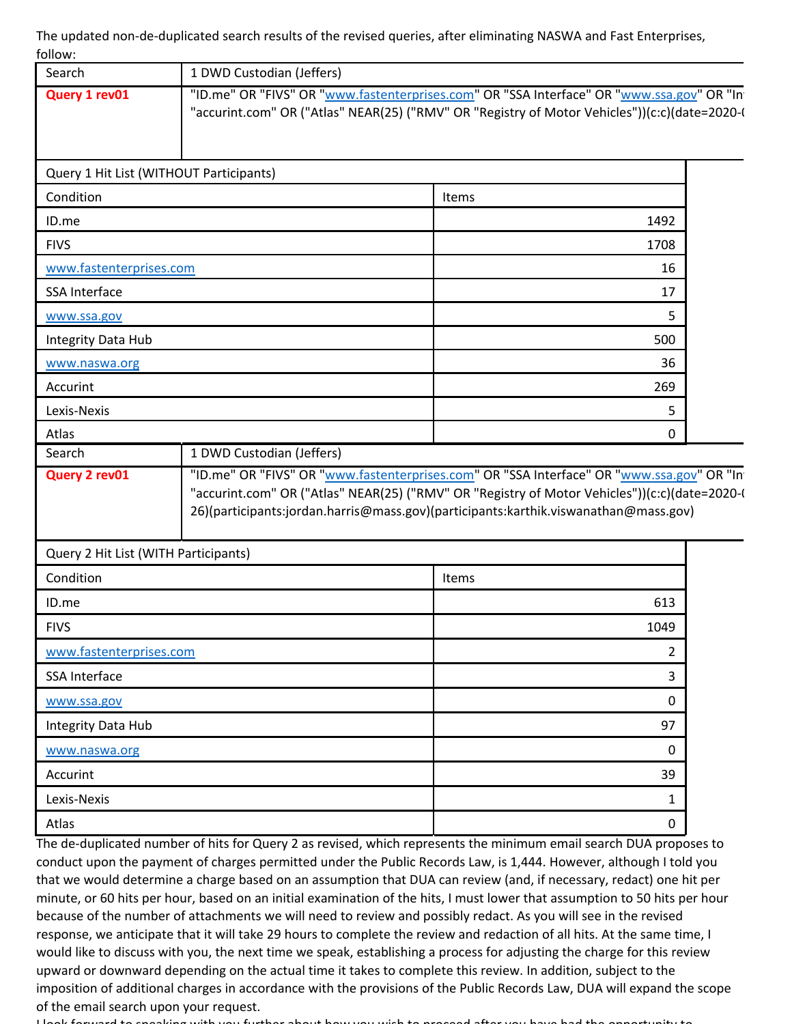The updated non-de-duplicated search results of the revised queries, after eliminating NASWA and Fast Enterprises, follow:

| Search                                  | 1 DWD Custodian (Jeffers) |                                                                                                                                                                                                                                                                                   |  |
|-----------------------------------------|---------------------------|-----------------------------------------------------------------------------------------------------------------------------------------------------------------------------------------------------------------------------------------------------------------------------------|--|
| Query 1 rev01                           |                           | "ID.me" OR "FIVS" OR "www.fastenterprises.com" OR "SSA Interface" OR "www.ssa.gov" OR "In<br>"accurint.com" OR ("Atlas" NEAR(25) ("RMV" OR "Registry of Motor Vehicles"))(c:c)(date=2020-(                                                                                        |  |
| Query 1 Hit List (WITHOUT Participants) |                           |                                                                                                                                                                                                                                                                                   |  |
| Condition                               |                           | Items                                                                                                                                                                                                                                                                             |  |
| ID.me                                   |                           | 1492                                                                                                                                                                                                                                                                              |  |
| <b>FIVS</b>                             |                           | 1708                                                                                                                                                                                                                                                                              |  |
| www.fastenterprises.com                 |                           | 16                                                                                                                                                                                                                                                                                |  |
| <b>SSA Interface</b>                    |                           | 17                                                                                                                                                                                                                                                                                |  |
| www.ssa.gov                             |                           | 5.                                                                                                                                                                                                                                                                                |  |
| Integrity Data Hub                      |                           | 500                                                                                                                                                                                                                                                                               |  |
| www.naswa.org                           |                           | 36                                                                                                                                                                                                                                                                                |  |
| Accurint                                |                           | 269                                                                                                                                                                                                                                                                               |  |
| Lexis-Nexis                             |                           | 5.                                                                                                                                                                                                                                                                                |  |
|                                         |                           |                                                                                                                                                                                                                                                                                   |  |
| Atlas<br>Search                         | 1 DWD Custodian (Jeffers) | 0                                                                                                                                                                                                                                                                                 |  |
| Query 2 rev01                           |                           | "ID.me" OR "FIVS" OR "www.fastenterprises.com" OR "SSA Interface" OR "www.ssa.gov" OR "In<br>"accurint.com" OR ("Atlas" NEAR(25) ("RMV" OR "Registry of Motor Vehicles"))(c:c)(date=2020-(<br>26)(participants:jordan.harris@mass.gov)(participants:karthik.viswanathan@mass.gov) |  |
| Query 2 Hit List (WITH Participants)    |                           |                                                                                                                                                                                                                                                                                   |  |
| Condition                               |                           | Items                                                                                                                                                                                                                                                                             |  |
| ID.me                                   |                           | 613                                                                                                                                                                                                                                                                               |  |
| <b>FIVS</b>                             |                           | 1049                                                                                                                                                                                                                                                                              |  |
| www.fastenterprises.com                 |                           | 2                                                                                                                                                                                                                                                                                 |  |
| SSA Interface                           |                           | 3                                                                                                                                                                                                                                                                                 |  |
| www.ssa.gov                             |                           | 0                                                                                                                                                                                                                                                                                 |  |
| Integrity Data Hub                      |                           | 97                                                                                                                                                                                                                                                                                |  |
| www.naswa.org                           |                           | 0                                                                                                                                                                                                                                                                                 |  |
| Accurint                                |                           | 39                                                                                                                                                                                                                                                                                |  |
| Lexis-Nexis                             |                           | 1                                                                                                                                                                                                                                                                                 |  |

conduct upon the payment of charges permitted under the Public Records Law, is 1,444. However, although I told you that we would determine a charge based on an assumption that DUA can review (and, if necessary, redact) one hit per minute, or 60 hits per hour, based on an initial examination of the hits, I must lower that assumption to 50 hits per hour because of the number of attachments we will need to review and possibly redact. As you will see in the revised response, we anticipate that it will take 29 hours to complete the review and redaction of all hits. At the same time, I would like to discuss with you, the next time we speak, establishing a process for adjusting the charge for this review upward or downward depending on the actual time it takes to complete this review. In addition, subject to the imposition of additional charges in accordance with the provisions of the Public Records Law, DUA will expand the scope of the email search upon your request.

I look forward to speaking with you further about how you wish to proceed after you have had the opportunity to